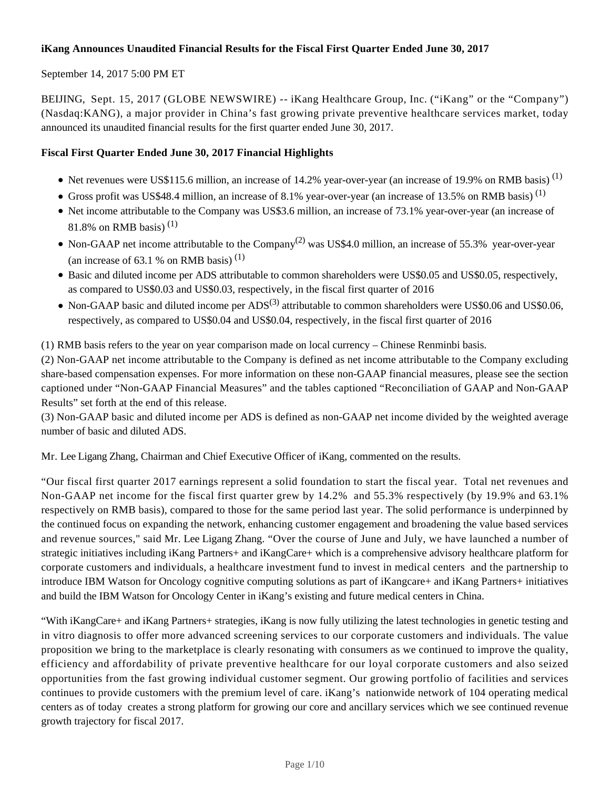## **iKang Announces Unaudited Financial Results for the Fiscal First Quarter Ended June 30, 2017**

## September 14, 2017 5:00 PM ET

BEIJING, Sept. 15, 2017 (GLOBE NEWSWIRE) -- iKang Healthcare Group, Inc. ("iKang" or the "Company") (Nasdaq:KANG), a major provider in China's fast growing private preventive healthcare services market, today announced its unaudited financial results for the first quarter ended June 30, 2017.

## **Fiscal First Quarter Ended June 30, 2017 Financial Highlights**

- $\bullet$  Net revenues were US\$115.6 million, an increase of 14.2% year-over-year (an increase of 19.9% on RMB basis)<sup>(1)</sup>
- Gross profit was US\$48.4 million, an increase of 8.1% year-over-year (an increase of 13.5% on RMB basis)<sup>(1)</sup>
- Net income attributable to the Company was US\$3.6 million, an increase of 73.1% year-over-year (an increase of 81.8% on RMB basis)<sup>(1)</sup>
- Non-GAAP net income attributable to the Company<sup>(2)</sup> was US\$4.0 million, an increase of 55.3% year-over-year (an increase of 63.1 % on RMB basis)  $(1)$
- Basic and diluted income per ADS attributable to common shareholders were US\$0.05 and US\$0.05, respectively, as compared to US\$0.03 and US\$0.03, respectively, in the fiscal first quarter of 2016
- Non-GAAP basic and diluted income per  $ADS^{(3)}$  attributable to common shareholders were US\$0.06 and US\$0.06, respectively, as compared to US\$0.04 and US\$0.04, respectively, in the fiscal first quarter of 2016

(1) RMB basis refers to the year on year comparison made on local currency – Chinese Renminbi basis.

(2) Non-GAAP net income attributable to the Company is defined as net income attributable to the Company excluding share-based compensation expenses. For more information on these non-GAAP financial measures, please see the section captioned under "Non-GAAP Financial Measures" and the tables captioned "Reconciliation of GAAP and Non-GAAP Results" set forth at the end of this release.

(3) Non-GAAP basic and diluted income per ADS is defined as non-GAAP net income divided by the weighted average number of basic and diluted ADS.

Mr. Lee Ligang Zhang, Chairman and Chief Executive Officer of iKang, commented on the results.

"Our fiscal first quarter 2017 earnings represent a solid foundation to start the fiscal year. Total net revenues and Non-GAAP net income for the fiscal first quarter grew by 14.2% and 55.3% respectively (by 19.9% and 63.1% respectively on RMB basis), compared to those for the same period last year. The solid performance is underpinned by the continued focus on expanding the network, enhancing customer engagement and broadening the value based services and revenue sources," said Mr. Lee Ligang Zhang. "Over the course of June and July, we have launched a number of strategic initiatives including iKang Partners+ and iKangCare+ which is a comprehensive advisory healthcare platform for corporate customers and individuals, a healthcare investment fund to invest in medical centers and the partnership to introduce IBM Watson for Oncology cognitive computing solutions as part of iKangcare+ and iKang Partners+ initiatives and build the IBM Watson for Oncology Center in iKang's existing and future medical centers in China.

"With iKangCare+ and iKang Partners+ strategies, iKang is now fully utilizing the latest technologies in genetic testing and in vitro diagnosis to offer more advanced screening services to our corporate customers and individuals. The value proposition we bring to the marketplace is clearly resonating with consumers as we continued to improve the quality, efficiency and affordability of private preventive healthcare for our loyal corporate customers and also seized opportunities from the fast growing individual customer segment. Our growing portfolio of facilities and services continues to provide customers with the premium level of care. iKang's nationwide network of 104 operating medical centers as of today creates a strong platform for growing our core and ancillary services which we see continued revenue growth trajectory for fiscal 2017.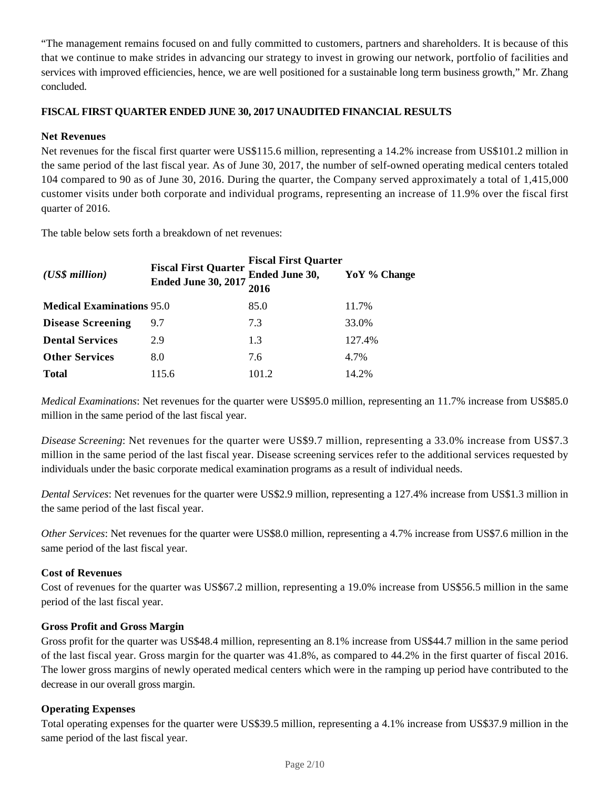"The management remains focused on and fully committed to customers, partners and shareholders. It is because of this that we continue to make strides in advancing our strategy to invest in growing our network, portfolio of facilities and services with improved efficiencies, hence, we are well positioned for a sustainable long term business growth," Mr. Zhang concluded.

## **FISCAL FIRST QUARTER ENDED JUNE 30, 2017 UNAUDITED FINANCIAL RESULTS**

## **Net Revenues**

Net revenues for the fiscal first quarter were US\$115.6 million, representing a 14.2% increase from US\$101.2 million in the same period of the last fiscal year*.* As of June 30, 2017, the number of self-owned operating medical centers totaled 104 compared to 90 as of June 30, 2016. During the quarter, the Company served approximately a total of 1,415,000 customer visits under both corporate and individual programs, representing an increase of 11.9% over the fiscal first quarter of 2016.

The table below sets forth a breakdown of net revenues:

|                                  | <b>Fiscal First Quarter</b><br><b>Ended June 30, 2017</b> | <b>Fiscal First Quarter</b> |              |  |
|----------------------------------|-----------------------------------------------------------|-----------------------------|--------------|--|
| $(US\$ s million                 |                                                           | <b>Ended June 30,</b>       | YoY % Change |  |
|                                  |                                                           | 2016                        |              |  |
| <b>Medical Examinations 95.0</b> |                                                           | 85.0                        | 11.7%        |  |
| <b>Disease Screening</b>         | 9.7                                                       | 7.3                         | 33.0%        |  |
| <b>Dental Services</b>           | 2.9                                                       | 1.3                         | 127.4%       |  |
| <b>Other Services</b>            | 8.0                                                       | 7.6                         | 4.7%         |  |
| <b>Total</b>                     | 115.6                                                     | 101.2                       | 14.2%        |  |

*Medical Examinations*: Net revenues for the quarter were US\$95.0 million, representing an 11.7% increase from US\$85.0 million in the same period of the last fiscal year.

*Disease Screening*: Net revenues for the quarter were US\$9.7 million, representing a 33.0% increase from US\$7.3 million in the same period of the last fiscal year. Disease screening services refer to the additional services requested by individuals under the basic corporate medical examination programs as a result of individual needs.

*Dental Services*: Net revenues for the quarter were US\$2.9 million, representing a 127.4% increase from US\$1.3 million in the same period of the last fiscal year.

*Other Services*: Net revenues for the quarter were US\$8.0 million, representing a 4.7% increase from US\$7.6 million in the same period of the last fiscal year.

### **Cost of Revenues**

Cost of revenues for the quarter was US\$67.2 million, representing a 19.0% increase from US\$56.5 million in the same period of the last fiscal year.

### **Gross Profit and Gross Margin**

Gross profit for the quarter was US\$48.4 million, representing an 8.1% increase from US\$44.7 million in the same period of the last fiscal year. Gross margin for the quarter was 41.8%, as compared to 44.2% in the first quarter of fiscal 2016. The lower gross margins of newly operated medical centers which were in the ramping up period have contributed to the decrease in our overall gross margin.

# **Operating Expenses**

Total operating expenses for the quarter were US\$39.5 million, representing a 4.1% increase from US\$37.9 million in the same period of the last fiscal year.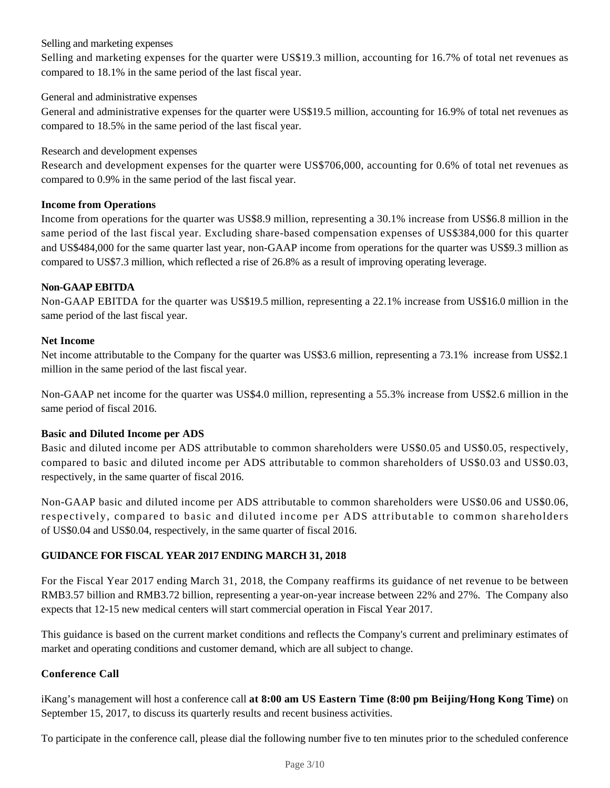## Selling and marketing expenses

Selling and marketing expenses for the quarter were US\$19.3 million, accounting for 16.7% of total net revenues as compared to 18.1% in the same period of the last fiscal year.

### General and administrative expenses

General and administrative expenses for the quarter were US\$19.5 million, accounting for 16.9% of total net revenues as compared to 18.5% in the same period of the last fiscal year.

Research and development expenses

Research and development expenses for the quarter were US\$706,000, accounting for 0.6% of total net revenues as compared to 0.9% in the same period of the last fiscal year.

## **Income from Operations**

Income from operations for the quarter was US\$8.9 million, representing a 30.1% increase from US\$6.8 million in the same period of the last fiscal year. Excluding share-based compensation expenses of US\$384,000 for this quarter and US\$484,000 for the same quarter last year, non-GAAP income from operations for the quarter was US\$9.3 million as compared to US\$7.3 million, which reflected a rise of 26.8% as a result of improving operating leverage.

# **Non-GAAP EBITDA**

Non-GAAP EBITDA for the quarter was US\$19.5 million, representing a 22.1% increase from US\$16.0 million in the same period of the last fiscal year.

## **Net Income**

Net income attributable to the Company for the quarter was US\$3.6 million, representing a 73.1% increase from US\$2.1 million in the same period of the last fiscal year.

Non-GAAP net income for the quarter was US\$4.0 million, representing a 55.3% increase from US\$2.6 million in the same period of fiscal 2016.

### **Basic and Diluted Income per ADS**

Basic and diluted income per ADS attributable to common shareholders were US\$0.05 and US\$0.05, respectively, compared to basic and diluted income per ADS attributable to common shareholders of US\$0.03 and US\$0.03, respectively, in the same quarter of fiscal 2016.

Non-GAAP basic and diluted income per ADS attributable to common shareholders were US\$0.06 and US\$0.06, respectively, compared to basic and diluted income per ADS attributable to common shareholders of US\$0.04 and US\$0.04, respectively, in the same quarter of fiscal 2016.

# **GUIDANCE FOR FISCAL YEAR 2017 ENDING MARCH 31, 2018**

For the Fiscal Year 2017 ending March 31, 2018, the Company reaffirms its guidance of net revenue to be between RMB3.57 billion and RMB3.72 billion, representing a year-on-year increase between 22% and 27%. The Company also expects that 12-15 new medical centers will start commercial operation in Fiscal Year 2017.

This guidance is based on the current market conditions and reflects the Company's current and preliminary estimates of market and operating conditions and customer demand, which are all subject to change.

# **Conference Call**

iKang's management will host a conference call **at 8:00 am US Eastern Time (8:00 pm Beijing/Hong Kong Time)** on September 15, 2017, to discuss its quarterly results and recent business activities.

To participate in the conference call, please dial the following number five to ten minutes prior to the scheduled conference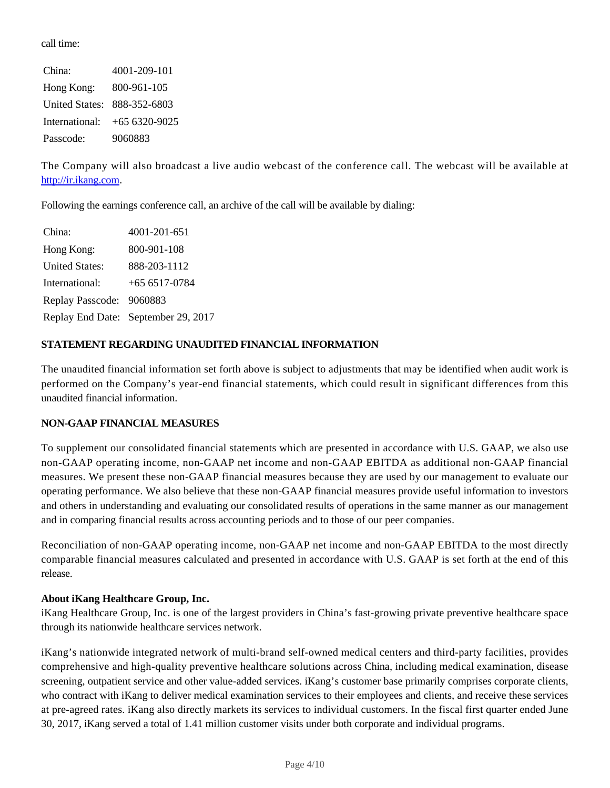call time:

China: 4001-209-101 Hong Kong: 800-961-105 United States: 888-352-6803 International: +65 6320-9025 Passcode: 9060883

The Company will also broadcast a live audio webcast of the conference call. The webcast will be available at http://ir.ikang.com.

Following the earnings conference call, an archive of the call will be available by dialing:

| China:                  | 4001-201-651                        |
|-------------------------|-------------------------------------|
| Hong Kong:              | 800-901-108                         |
| <b>United States:</b>   | 888-203-1112                        |
| International:          | $+656517-0784$                      |
| <b>Replay Passcode:</b> | 9060883                             |
|                         | Replay End Date: September 29, 2017 |

# **STATEMENT REGARDING UNAUDITED FINANCIAL INFORMATION**

The unaudited financial information set forth above is subject to adjustments that may be identified when audit work is performed on the Company's year-end financial statements, which could result in significant differences from this unaudited financial information.

### **NON-GAAP FINANCIAL MEASURES**

To supplement our consolidated financial statements which are presented in accordance with U.S. GAAP, we also use non-GAAP operating income, non-GAAP net income and non-GAAP EBITDA as additional non-GAAP financial measures. We present these non-GAAP financial measures because they are used by our management to evaluate our operating performance. We also believe that these non-GAAP financial measures provide useful information to investors and others in understanding and evaluating our consolidated results of operations in the same manner as our management and in comparing financial results across accounting periods and to those of our peer companies.

Reconciliation of non-GAAP operating income, non-GAAP net income and non-GAAP EBITDA to the most directly comparable financial measures calculated and presented in accordance with U.S. GAAP is set forth at the end of this release.

### **About iKang Healthcare Group, Inc.**

iKang Healthcare Group, Inc. is one of the largest providers in China's fast-growing private preventive healthcare space through its nationwide healthcare services network.

iKang's nationwide integrated network of multi-brand self-owned medical centers and third-party facilities, provides comprehensive and high-quality preventive healthcare solutions across China, including medical examination, disease screening, outpatient service and other value-added services. iKang's customer base primarily comprises corporate clients, who contract with iKang to deliver medical examination services to their employees and clients, and receive these services at pre-agreed rates. iKang also directly markets its services to individual customers. In the fiscal first quarter ended June 30, 2017, iKang served a total of 1.41 million customer visits under both corporate and individual programs.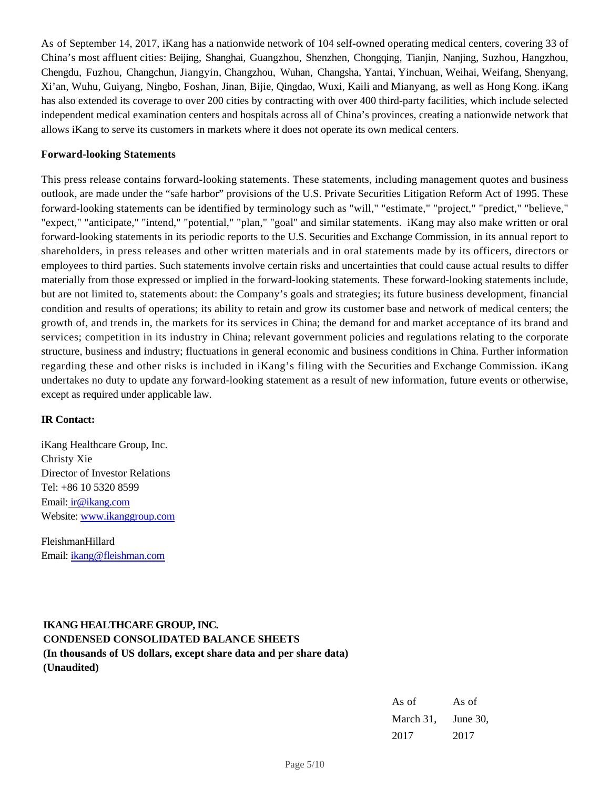As of September 14, 2017, iKang has a nationwide network of 104 self-owned operating medical centers, covering 33 of China's most affluent cities: Beijing, Shanghai, Guangzhou, Shenzhen, Chongqing, Tianjin, Nanjing, Suzhou, Hangzhou, Chengdu, Fuzhou, Changchun, Jiangyin, Changzhou, Wuhan, Changsha, Yantai, Yinchuan, Weihai, Weifang, Shenyang, Xi'an, Wuhu, Guiyang, Ningbo, Foshan, Jinan, Bijie, Qingdao, Wuxi, Kaili and Mianyang, as well as Hong Kong. iKang has also extended its coverage to over 200 cities by contracting with over 400 third-party facilities, which include selected independent medical examination centers and hospitals across all of China's provinces, creating a nationwide network that allows iKang to serve its customers in markets where it does not operate its own medical centers.

### **Forward-looking Statements**

This press release contains forward-looking statements. These statements, including management quotes and business outlook, are made under the "safe harbor" provisions of the U.S. Private Securities Litigation Reform Act of 1995. These forward-looking statements can be identified by terminology such as "will," "estimate," "project," "predict," "believe," "expect," "anticipate," "intend," "potential," "plan," "goal" and similar statements. iKang may also make written or oral forward-looking statements in its periodic reports to the U.S. Securities and Exchange Commission, in its annual report to shareholders, in press releases and other written materials and in oral statements made by its officers, directors or employees to third parties. Such statements involve certain risks and uncertainties that could cause actual results to differ materially from those expressed or implied in the forward-looking statements. These forward-looking statements include, but are not limited to, statements about: the Company's goals and strategies; its future business development, financial condition and results of operations; its ability to retain and grow its customer base and network of medical centers; the growth of, and trends in, the markets for its services in China; the demand for and market acceptance of its brand and services; competition in its industry in China; relevant government policies and regulations relating to the corporate structure, business and industry; fluctuations in general economic and business conditions in China. Further information regarding these and other risks is included in iKang's filing with the Securities and Exchange Commission. iKang undertakes no duty to update any forward-looking statement as a result of new information, future events or otherwise, except as required under applicable law.

### **IR Contact:**

iKang Healthcare Group, Inc. Christy Xie Director of Investor Relations Tel: +86 10 5320 8599 Email: ir@ikang.com Website: www.ikanggroup.com

FleishmanHillard Email: ikang@fleishman.com

# **IKANG HEALTHCARE GROUP, INC. CONDENSED CONSOLIDATED BALANCE SHEETS (In thousands of US dollars, except share data and per share data) (Unaudited)**

| As of     | As of       |  |  |
|-----------|-------------|--|--|
| March 31, | June $30$ . |  |  |
| 2017      | 2017        |  |  |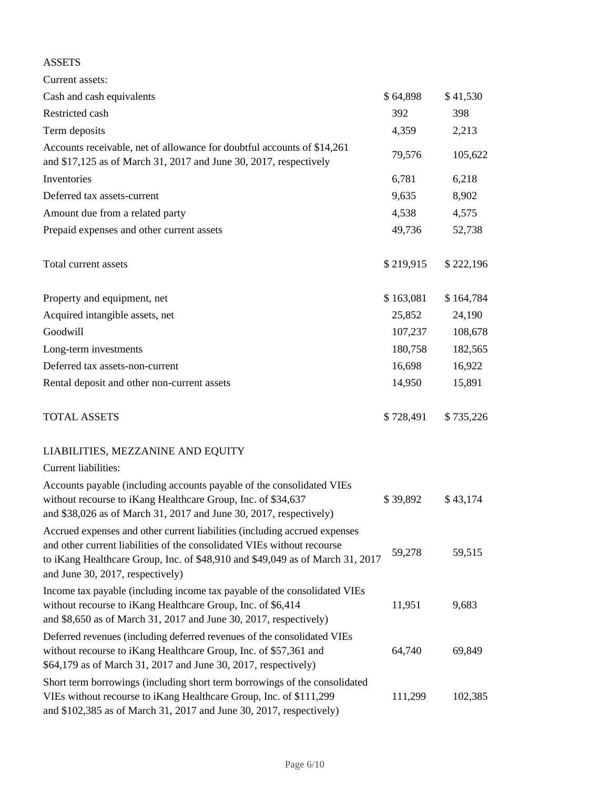# ASSETS

| Current assets:                                                                                                                                                                                                                                                            |           |           |
|----------------------------------------------------------------------------------------------------------------------------------------------------------------------------------------------------------------------------------------------------------------------------|-----------|-----------|
| Cash and cash equivalents                                                                                                                                                                                                                                                  | \$64,898  | \$41,530  |
| Restricted cash                                                                                                                                                                                                                                                            | 392       | 398       |
| Term deposits                                                                                                                                                                                                                                                              | 4,359     | 2,213     |
| Accounts receivable, net of allowance for doubtful accounts of \$14,261<br>and \$17,125 as of March 31, 2017 and June 30, 2017, respectively                                                                                                                               | 79,576    | 105,622   |
| Inventories                                                                                                                                                                                                                                                                | 6,781     | 6,218     |
| Deferred tax assets-current                                                                                                                                                                                                                                                | 9,635     | 8,902     |
| Amount due from a related party                                                                                                                                                                                                                                            | 4,538     | 4,575     |
| Prepaid expenses and other current assets                                                                                                                                                                                                                                  | 49,736    | 52,738    |
| Total current assets                                                                                                                                                                                                                                                       | \$219,915 | \$222,196 |
| Property and equipment, net                                                                                                                                                                                                                                                | \$163,081 | \$164,784 |
| Acquired intangible assets, net                                                                                                                                                                                                                                            | 25,852    | 24,190    |
| Goodwill                                                                                                                                                                                                                                                                   | 107,237   | 108,678   |
| Long-term investments                                                                                                                                                                                                                                                      | 180,758   | 182,565   |
| Deferred tax assets-non-current                                                                                                                                                                                                                                            | 16,698    | 16,922    |
| Rental deposit and other non-current assets                                                                                                                                                                                                                                | 14,950    | 15,891    |
| <b>TOTAL ASSETS</b>                                                                                                                                                                                                                                                        | \$728,491 | \$735,226 |
| LIABILITIES, MEZZANINE AND EQUITY                                                                                                                                                                                                                                          |           |           |
| <b>Current liabilities:</b>                                                                                                                                                                                                                                                |           |           |
| Accounts payable (including accounts payable of the consolidated VIEs<br>without recourse to iKang Healthcare Group, Inc. of \$34,637<br>and \$38,026 as of March 31, 2017 and June 30, 2017, respectively)                                                                | \$39,892  | \$43,174  |
| Accrued expenses and other current liabilities (including accrued expenses<br>and other current liabilities of the consolidated VIEs without recourse<br>to iKang Healthcare Group, Inc. of \$48,910 and \$49,049 as of March 31, 2017<br>and June 30, 2017, respectively) | 59,278    | 59,515    |
| Income tax payable (including income tax payable of the consolidated VIEs<br>without recourse to iKang Healthcare Group, Inc. of \$6,414<br>and \$8,650 as of March 31, 2017 and June 30, 2017, respectively)                                                              | 11,951    | 9,683     |
| Deferred revenues (including deferred revenues of the consolidated VIEs<br>without recourse to iKang Healthcare Group, Inc. of \$57,361 and<br>\$64,179 as of March 31, 2017 and June 30, 2017, respectively)                                                              | 64,740    | 69,849    |
| Short term borrowings (including short term borrowings of the consolidated<br>VIEs without recourse to iKang Healthcare Group, Inc. of \$111,299<br>and \$102,385 as of March 31, 2017 and June 30, 2017, respectively)                                                    | 111,299   | 102,385   |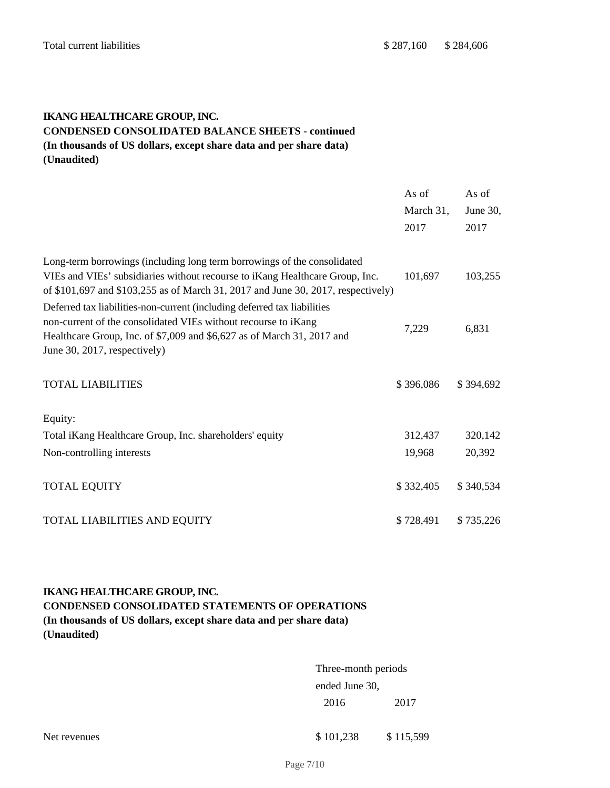# **IKANG HEALTHCARE GROUP, INC. CONDENSED CONSOLIDATED BALANCE SHEETS - continued (In thousands of US dollars, except share data and per share data) (Unaudited)**

|                                                                                                                                                                                                                                                      | As of<br>March 31,<br>2017 | As of<br>June 30,<br>2017 |
|------------------------------------------------------------------------------------------------------------------------------------------------------------------------------------------------------------------------------------------------------|----------------------------|---------------------------|
| Long-term borrowings (including long term borrowings of the consolidated<br>VIEs and VIEs' subsidiaries without recourse to iKang Healthcare Group, Inc.<br>of \$101,697 and \$103,255 as of March 31, 2017 and June 30, 2017, respectively)         | 101,697                    | 103,255                   |
| Deferred tax liabilities-non-current (including deferred tax liabilities<br>non-current of the consolidated VIEs without recourse to iKang<br>Healthcare Group, Inc. of \$7,009 and \$6,627 as of March 31, 2017 and<br>June 30, 2017, respectively) | 7,229                      | 6,831                     |
| <b>TOTAL LIABILITIES</b>                                                                                                                                                                                                                             | \$396,086                  | \$394,692                 |
| Equity:                                                                                                                                                                                                                                              |                            |                           |
| Total iKang Healthcare Group, Inc. shareholders' equity                                                                                                                                                                                              | 312,437                    | 320,142                   |
| Non-controlling interests                                                                                                                                                                                                                            | 19,968                     | 20,392                    |
| <b>TOTAL EQUITY</b>                                                                                                                                                                                                                                  | \$332,405                  | \$340,534                 |
| <b>TOTAL LIABILITIES AND EQUITY</b>                                                                                                                                                                                                                  | \$728,491                  | \$735,226                 |

# **IKANG HEALTHCARE GROUP, INC. CONDENSED CONSOLIDATED STATEMENTS OF OPERATIONS (In thousands of US dollars, except share data and per share data) (Unaudited)**

| Three-month periods |      |  |
|---------------------|------|--|
| ended June 30.      |      |  |
| 2016                | 2017 |  |

Net revenues \$101,238 \$115,599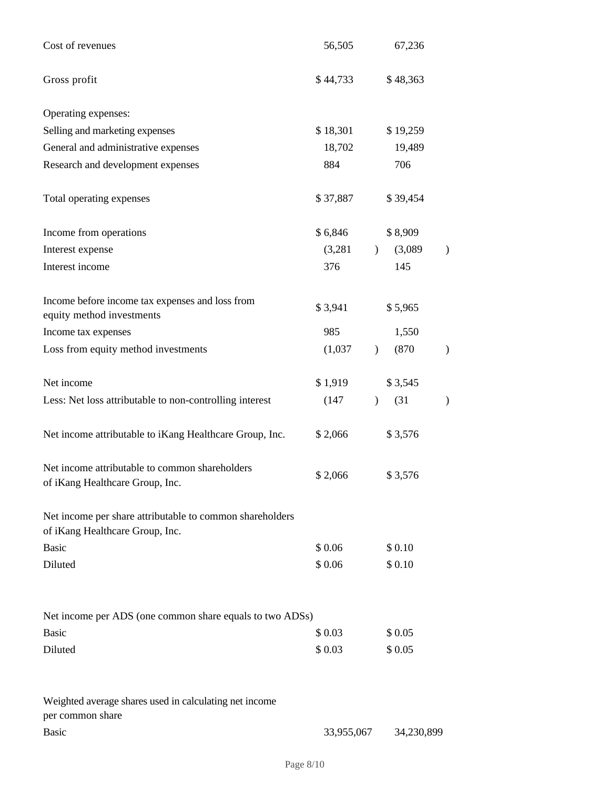| Cost of revenues                                                                            | 56,505   | 67,236        |          |   |
|---------------------------------------------------------------------------------------------|----------|---------------|----------|---|
| Gross profit                                                                                | \$44,733 |               | \$48,363 |   |
| Operating expenses:                                                                         |          |               |          |   |
| Selling and marketing expenses                                                              | \$18,301 |               | \$19,259 |   |
| General and administrative expenses                                                         | 18,702   |               | 19,489   |   |
| Research and development expenses                                                           | 884      |               | 706      |   |
| Total operating expenses                                                                    | \$37,887 |               | \$39,454 |   |
| Income from operations                                                                      | \$6,846  |               | \$8,909  |   |
| Interest expense                                                                            | (3,281)  | $\mathcal{L}$ | (3,089)  |   |
| Interest income                                                                             | 376      |               | 145      |   |
| Income before income tax expenses and loss from<br>equity method investments                | \$3,941  |               | \$5,965  |   |
| Income tax expenses                                                                         | 985      |               | 1,550    |   |
| Loss from equity method investments                                                         | (1,037)  | $\lambda$     | (870)    |   |
| Net income                                                                                  | \$1,919  |               | \$3,545  |   |
| Less: Net loss attributable to non-controlling interest                                     | (147)    | $\mathcal{E}$ | (31)     | ) |
| Net income attributable to iKang Healthcare Group, Inc.                                     | \$2,066  |               | \$3,576  |   |
| Net income attributable to common shareholders<br>of iKang Healthcare Group, Inc.           | \$2,066  |               | \$3,576  |   |
| Net income per share attributable to common shareholders<br>of iKang Healthcare Group, Inc. |          |               |          |   |
| <b>Basic</b>                                                                                | \$0.06   |               | \$0.10   |   |
| Diluted                                                                                     | \$0.06   |               | \$0.10   |   |
| Net income per ADS (one common share equals to two ADSs)                                    |          |               |          |   |
| <b>Basic</b>                                                                                | \$0.03   |               | \$0.05   |   |
| Diluted                                                                                     | \$0.03   |               | \$0.05   |   |
| Weighted average shares used in calculating net income<br>per common share                  |          |               |          |   |

Basic 33,955,067 34,230,899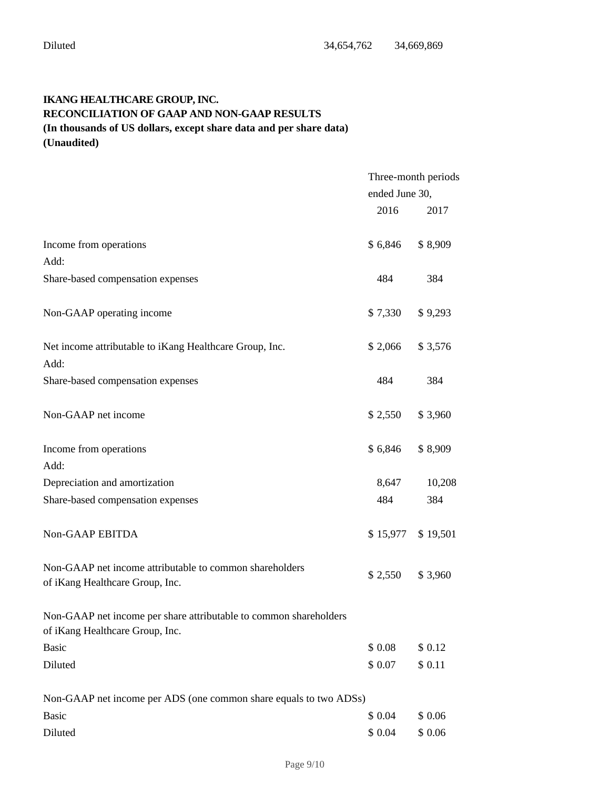# **IKANG HEALTHCARE GROUP, INC. RECONCILIATION OF GAAP AND NON-GAAP RESULTS (In thousands of US dollars, except share data and per share data) (Unaudited)**

|                                                                                                      | Three-month periods |                     |
|------------------------------------------------------------------------------------------------------|---------------------|---------------------|
|                                                                                                      | ended June 30,      |                     |
|                                                                                                      | 2016                | 2017                |
| Income from operations<br>Add:                                                                       | \$6,846             | \$8,909             |
| Share-based compensation expenses                                                                    | 484                 | 384                 |
| Non-GAAP operating income                                                                            | \$7,330             | \$9,293             |
| Net income attributable to iKang Healthcare Group, Inc.<br>Add:                                      | \$2,066             | \$3,576             |
| Share-based compensation expenses                                                                    | 484                 | 384                 |
| Non-GAAP net income                                                                                  | \$2,550             | \$3,960             |
| Income from operations<br>Add:                                                                       | \$6,846             | \$8,909             |
| Depreciation and amortization                                                                        | 8,647               | 10,208              |
| Share-based compensation expenses                                                                    | 484                 | 384                 |
| Non-GAAP EBITDA                                                                                      |                     | $$15,977$ $$19,501$ |
| Non-GAAP net income attributable to common shareholders<br>of iKang Healthcare Group, Inc.           | \$2,550             | \$3,960             |
| Non-GAAP net income per share attributable to common shareholders<br>of iKang Healthcare Group, Inc. |                     |                     |
| <b>Basic</b>                                                                                         | \$0.08              | \$ 0.12             |
| Diluted                                                                                              | \$0.07              | \$ 0.11             |
| Non-GAAP net income per ADS (one common share equals to two ADSs)                                    |                     |                     |
| <b>Basic</b>                                                                                         | \$ 0.04             | \$0.06              |
| Diluted                                                                                              | \$0.04              | \$0.06              |